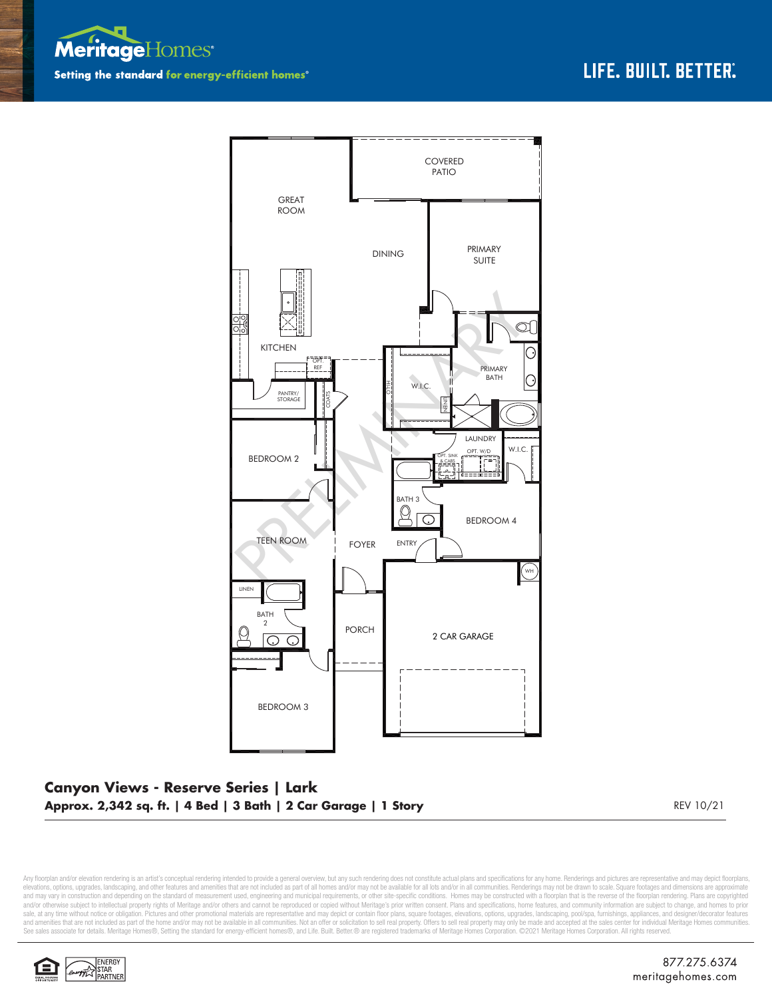



## **Canyon Views - Reserve Series | Lark Approx. 2,342 sq. ft. | 4 Bed | 3 Bath | 2 Car Garage | 1 Story** REV 10/21

Any floorplan and/or elevation rendering is an artist's conceptual rendering intended to provide a general overview, but any such rendering does not constitute actual plans and specifications for any home. Renderings and p elevations, options, upgrades, landscaping, and other features and amenities that are not included as part of all homes and/or may not be available for all lots and/or in all communities. Renderings may not be drawn to sca sale, at any time without notice or obligation. Pictures and other promotional materials are representative and may depict or contain floor plans, square footages, elevations, options, upgrades, landscaping, pool/spa, furn See sales associate for details. Meritage Homes®, Setting the standard for energy-efficient homes®, and Life. Built. Better. @ are registered trademarks of Meritage Homes Corporation. ©2021 Meritage Homes Corporation. All